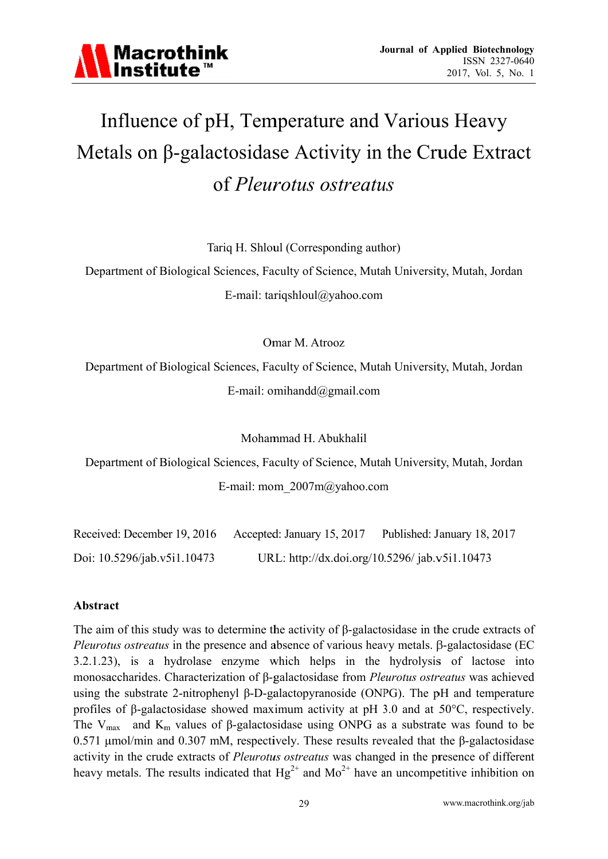

# Influence of pH, Temperature and Various Heavy Metals on  $\beta$ -galactosidase Activity in the Crude Extract of *Pleurotus ostreatus*

Tariq H. Shloul (Corresponding author)

Department of Biological Sciences, Faculty of Science, Mutah University, Mutah, Jordan E-mail: tariqshloul@yahoo.com

Omar M. Atrooz

Department of Biological Sciences, Faculty of Science, Mutah University, Mutah, Jordan E-mail: omihandd $@g$ mail.com

Mohammad H. Abukhalil

Department of Biological Sciences, Faculty of Science, Mutah University, Mutah, Jordan E-mail: mom  $2007$ m $@$ yahoo.com

| Received: December 19, 2016 | Accepted: January 15, 2017                     | Published: January 18, 2017 |
|-----------------------------|------------------------------------------------|-----------------------------|
| Doi: 10.5296/jab.v5i1.10473 | URL: http://dx.doi.org/10.5296/ jab.v5i1.10473 |                             |

#### Abstract

The aim of this study was to determine the activity of  $\beta$ -galactosidase in the crude extracts of Pleurotus ostreatus in the presence and absence of various heavy metals. β-galactosidase (EC 3.2.1.23), is a hydrolase enzyme which helps in the hydrolysis of lactose into monosaccharides. Characterization of  $\beta$ -galactosidase from *Pleurotus ostreatus* was achieved using the substrate 2-nitrophenyl  $\beta$ -D-galactopyranoside (ONPG). The pH and temperature profiles of  $\beta$ -galactosidase showed maximum activity at pH 3.0 and at 50 $\degree$ C, respectively. The V<sub>max</sub> and K<sub>m</sub> values of  $\beta$ -galactosidase using ONPG as a substrate was found to be 0.571  $\mu$ mol/min and 0.307 mM, respectively. These results revealed that the  $\beta$ -galactosidase activity in the crude extracts of Pleurotus ostreatus was changed in the presence of different heavy metals. The results indicated that  $Hg^{2+}$  and  $Mo^{2+}$  have an uncompetitive inhibition on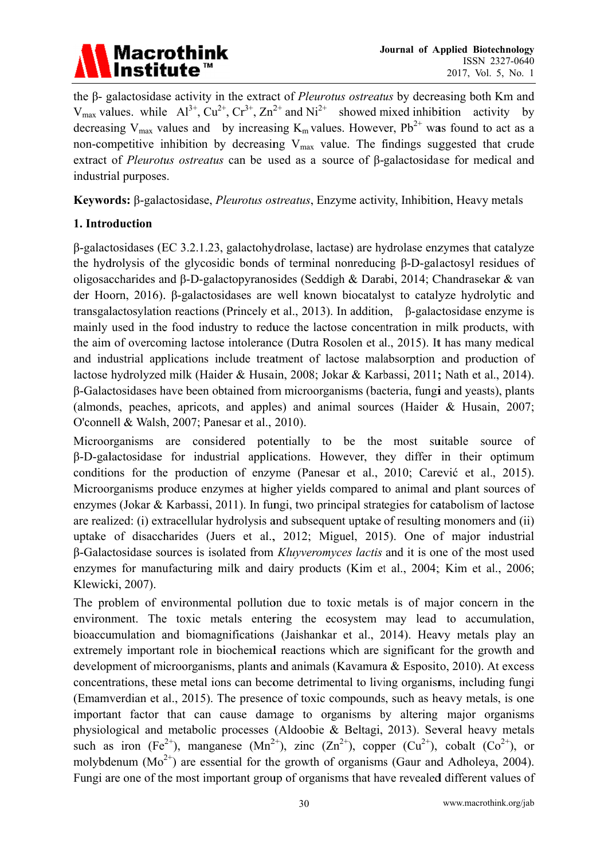

the β- galactosidase activity in the extract of *Pleurotus ostreatus* by decreasing both Km and  $V_{\text{max}}$  values. while  $Al^{3+}$ ,  $Cu^{2+}$ ,  $Cr^{3+}$ ,  $Zn^{2+}$  and  $Ni^{2+}$  showed mixed inhibition activity by decreasing V<sub>max</sub> values and by increasing K<sub>m</sub> values. However,  $Pb^{2+}$  was found to act as a non-competitive inhibition by decreasing  $V_{\text{max}}$  value. The findings suggested that crude extract of Pleurotus ostreatus can be used as a source of  $\beta$ -galactosidase for medical and industrial purposes.

**Keywords:** β-galactosidase, *Pleurotus ostreatus*, Enzyme activity, Inhibition, Heavy metals

## 1. Introduction

 $\beta$ -galactosidases (EC 3.2.1.23, galactohydrolase, lactase) are hydrolase enzymes that catalyze the hydrolysis of the glycosidic bonds of terminal nonreducing B-D-galactosyl residues of oligosaccharides and β-D-galactopyranosides (Seddigh & Darabi, 2014; Chandrasekar & van der Hoorn, 2016). β-galactosidases are well known biocatalyst to catalyze hydrolytic and transgalactosylation reactions (Princely et al., 2013). In addition,  $\beta$ -galactosidase enzyme is mainly used in the food industry to reduce the lactose concentration in milk products, with the aim of overcoming lactose intolerance (Dutra Rosolen et al., 2015). It has many medical and industrial applications include treatment of lactose malabsorption and production of lactose hydrolyzed milk (Haider & Husain, 2008; Jokar & Karbassi, 2011; Nath et al., 2014). β-Galactosidases have been obtained from microorganisms (bacteria, fungi and yeasts), plants (almonds, peaches, apricots, and apples) and animal sources (Haider  $\&$  Husain, 2007; O'connell & Walsh, 2007; Panesar et al., 2010).

Microorganisms are considered potentially to be the most suitable source of β-D-galactosidase for industrial applications. However, they differ in their optimum conditions for the production of enzyme (Panesar et al., 2010; Carević et al., 2015). Microorganisms produce enzymes at higher yields compared to animal and plant sources of enzymes (Jokar & Karbassi, 2011). In fungi, two principal strategies for catabolism of lactose are realized: (i) extracellular hydrolysis and subsequent uptake of resulting monomers and (ii) uptake of disaccharides (Juers et al., 2012; Miguel, 2015). One of major industrial β-Galactosidase sources is isolated from *Kluyveromyces lactis* and it is one of the most used enzymes for manufacturing milk and dairy products (Kim et al., 2004; Kim et al., 2006; Klewicki, 2007).

The problem of environmental pollution due to toxic metals is of major concern in the environment. The toxic metals entering the ecosystem may lead to accumulation, bioaccumulation and biomagnifications (Jaishankar et al., 2014). Heavy metals play an extremely important role in biochemical reactions which are significant for the growth and development of microorganisms, plants and animals (Kavamura & Esposito, 2010). At excess concentrations, these metal ions can become detrimental to living organisms, including fungi (Emamverdian et al., 2015). The presence of toxic compounds, such as heavy metals, is one important factor that can cause damage to organisms by altering major organisms physiological and metabolic processes (Aldoobie & Beltagi, 2013). Several heavy metals such as iron (Fe<sup>2+</sup>), manganese (Mn<sup>2+</sup>), zinc (Zn<sup>2+</sup>), copper (Cu<sup>2+</sup>), cobalt (Co<sup>2+</sup>), or molvbdenum  $(Mo^{2+})$  are essential for the growth of organisms (Gaur and Adholeya, 2004). Fungi are one of the most important group of organisms that have revealed different values of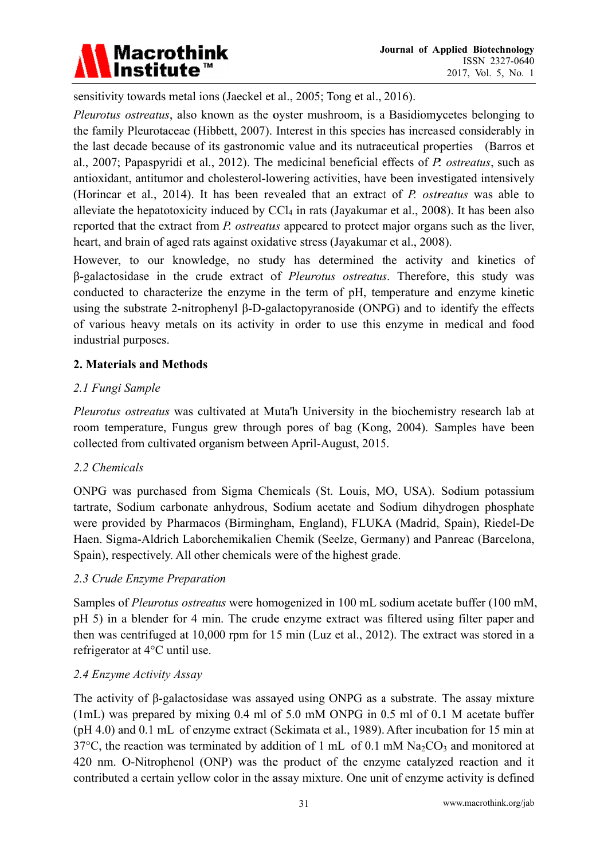

sensitivity towards metal ions (Jaeckel et al., 2005; Tong et al., 2016).

Pleurotus ostreatus, also known as the oyster mushroom, is a Basidiomycetes belonging to the family Pleurotaceae (Hibbett, 2007). Interest in this species has increased considerably in the last decade because of its gastronomic value and its nutraceutical properties (Barros et al., 2007; Papaspyridi et al., 2012). The medicinal beneficial effects of P. ostreatus, such as antioxidant, antitumor and cholesterol-lowering activities, have been investigated intensively (Horincar et al., 2014). It has been revealed that an extract of P. ostreatus was able to alleviate the hepatotoxicity induced by  $CCl_4$  in rats (Jayakumar et al., 2008). It has been also reported that the extract from P. ostreatus appeared to protect major organs such as the liver, heart, and brain of aged rats against oxidative stress (Jayakumar et al., 2008).

However, to our knowledge, no study has determined the activity and kinetics of B-galactosidase in the crude extract of *Pleurotus ostreatus*. Therefore, this study was conducted to characterize the enzyme in the term of pH, temperature and enzyme kinetic using the substrate 2-nitrophenyl B-D-galactopyranoside (ONPG) and to identify the effects of various heavy metals on its activity in order to use this enzyme in medical and food industrial purposes.

## 2. Materials and Methods

## 2.1 Fungi Sample

Pleurotus ostreatus was cultivated at Muta'h University in the biochemistry research lab at room temperature, Fungus grew through pores of bag (Kong, 2004). Samples have been collected from cultivated organism between April-August, 2015.

### 2.2 Chemicals

ONPG was purchased from Sigma Chemicals (St. Louis, MO, USA). Sodium potassium tartrate, Sodium carbonate anhydrous, Sodium acetate and Sodium dihydrogen phosphate were provided by Pharmacos (Birmingham, England), FLUKA (Madrid, Spain), Riedel-De Haen. Sigma-Aldrich Laborchemikalien Chemik (Seelze, Germany) and Panreac (Barcelona, Spain), respectively. All other chemicals were of the highest grade.

### 2.3 Crude Enzyme Preparation

Samples of *Pleurotus ostreatus* were homogenized in 100 mL sodium acetate buffer (100 mM, pH 5) in a blender for 4 min. The crude enzyme extract was filtered using filter paper and then was centrifuged at 10,000 rpm for 15 min (Luz et al., 2012). The extract was stored in a refrigerator at 4°C until use.

### 2.4 Enzyme Activity Assay

The activity of B-galactosidase was assayed using ONPG as a substrate. The assay mixture  $(1mL)$  was prepared by mixing 0.4 ml of 5.0 mM ONPG in 0.5 ml of 0.1 M acetate buffer (pH 4.0) and 0.1 mL of enzyme extract (Sekimata et al., 1989). After incubation for 15 min at 37°C, the reaction was terminated by addition of 1 mL of 0.1 mM  $Na<sub>2</sub>CO<sub>3</sub>$  and monitored at 420 nm. O-Nitrophenol (ONP) was the product of the enzyme catalyzed reaction and it contributed a certain vellow color in the assay mixture. One unit of enzyme activity is defined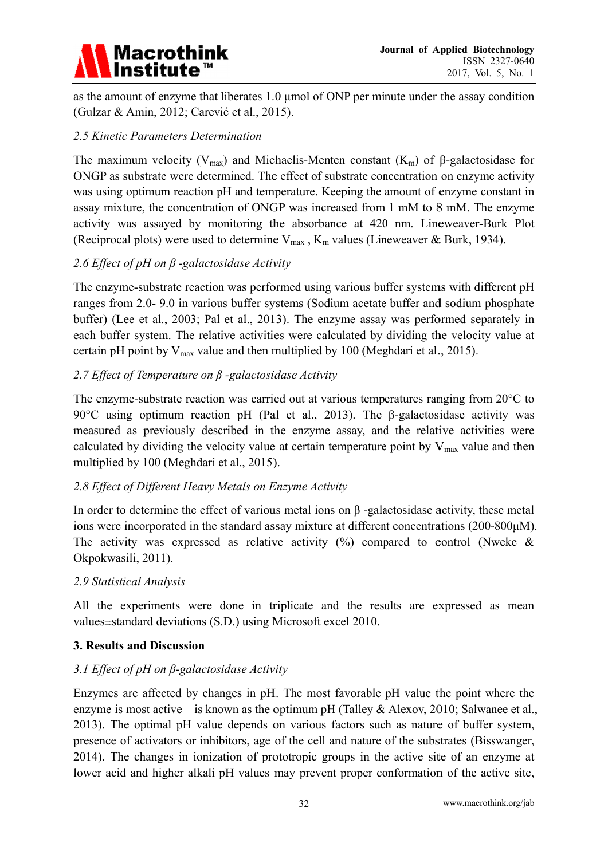

as the amount of enzyme that liberates 1.0 umol of ONP per minute under the assay condition (Gulzar & Amin, 2012; Carević et al., 2015).

## 2.5 Kinetic Parameters Determination

The maximum velocity ( $V_{max}$ ) and Michaelis-Menten constant ( $K_m$ ) of  $\beta$ -galactosidase for ONGP as substrate were determined. The effect of substrate concentration on enzyme activity was using optimum reaction pH and temperature. Keeping the amount of enzyme constant in assay mixture, the concentration of ONGP was increased from 1 mM to 8 mM. The enzyme activity was assayed by monitoring the absorbance at 420 nm. Lineweaver-Burk Plot (Reciprocal plots) were used to determine  $V_{max}$ ,  $K_m$  values (Lineweaver & Burk, 1934).

## 2.6 Effect of pH on  $\beta$  -galactosidase Activity

The enzyme-substrate reaction was performed using various buffer systems with different pH ranges from 2.0-9.0 in various buffer systems (Sodium acetate buffer and sodium phosphate buffer) (Lee et al., 2003; Pal et al., 2013). The enzyme assay was performed separately in each buffer system. The relative activities were calculated by dividing the velocity value at certain pH point by  $V_{\text{max}}$  value and then multiplied by 100 (Meghdari et al., 2015).

## 2.7 Effect of Temperature on B-galactosidase Activity

The enzyme-substrate reaction was carried out at various temperatures ranging from 20°C to 90 $\degree$ C using optimum reaction pH (Pal et al., 2013). The  $\beta$ -galactosidase activity was measured as previously described in the enzyme assay, and the relative activities were calculated by dividing the velocity value at certain temperature point by  $V_{max}$  value and then multiplied by 100 (Meghdari et al., 2015).

### 2.8 Effect of Different Heavy Metals on Enzyme Activity

In order to determine the effect of various metal ions on  $\beta$ -galactosidase activity, these metal ions were incorporated in the standard assay mixture at different concentrations (200-800µM). The activity was expressed as relative activity  $\binom{0}{0}$  compared to control (Nweke & Okpokwasili, 2011).

### 2.9 Statistical Analysis

All the experiments were done in triplicate and the results are expressed as mean values±standard deviations (S.D.) using Microsoft excel 2010.

### **3. Results and Discussion**

### 3.1 Effect of pH on  $\beta$ -galactosidase Activity

Enzymes are affected by changes in pH. The most favorable pH value the point where the enzyme is most active is known as the optimum pH (Talley & Alexov, 2010; Salwanee et al., 2013). The optimal pH value depends on various factors such as nature of buffer system, presence of activators or inhibitors, age of the cell and nature of the substrates (Bisswanger, 2014). The changes in ionization of prototropic groups in the active site of an enzyme at lower acid and higher alkali pH values may prevent proper conformation of the active site,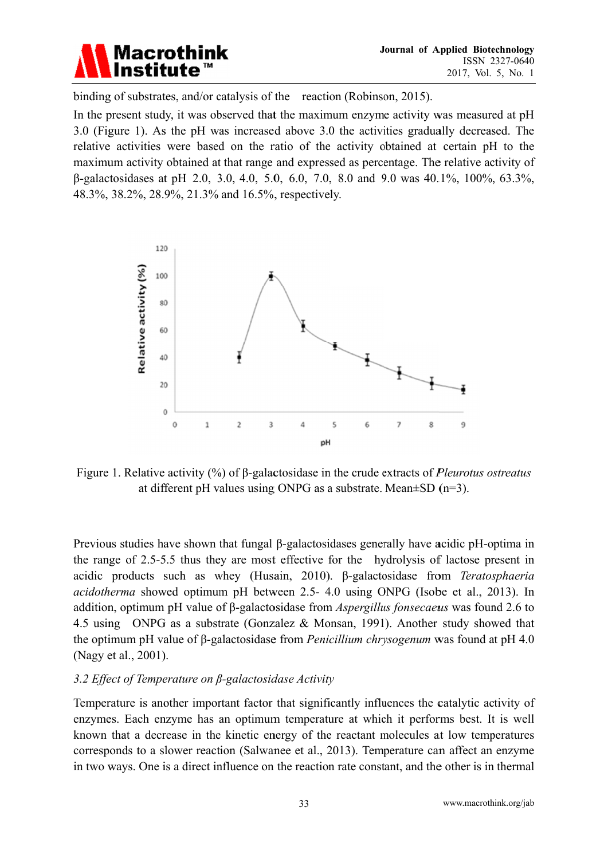

binding of substrates, and/or catalysis of the reaction (Robinson, 2015).

In the present study, it was observed that the maximum enzyme activity was measured at pH 3.0 (Figure 1). As the pH was increased above 3.0 the activities gradually decreased. The relative activities were based on the ratio of the activity obtained at certain pH to the maximum activity obtained at that range and expressed as percentage. The relative activity of β-galactosidases at pH 2.0, 3.0, 4.0, 5.0, 6.0, 7.0, 8.0 and 9.0 was 40.1%, 100%, 63.3%, 48.3%, 38.2%, 28.9%, 21.3% and 16.5%, respectively.



Figure 1. Relative activity  $(\%)$  of  $\beta$ -galactosidase in the crude extracts of *Pleurotus ostreatus* at different pH values using ONPG as a substrate. Mean $\pm$ SD (n=3).

Previous studies have shown that fungal  $\beta$ -galactosidases generally have acidic pH-optima in the range of 2.5-5.5 thus they are most effective for the hydrolysis of lactose present in acidic products such as whey (Husain, 2010). B-galactosidase from Teratosphaeria *acidotherma* showed optimum pH between 2.5- 4.0 using ONPG (Isobe et al., 2013). In addition, optimum pH value of  $\beta$ -galactosidase from *Aspergillus fonsecaeus* was found 2.6 to 4.5 using ONPG as a substrate (Gonzalez & Monsan, 1991). Another study showed that the optimum pH value of  $\beta$ -galactosidase from *Penicillium chrysogenum* was found at pH 4.0 (Nagy et al., 2001).

### 3.2 Effect of Temperature on  $\beta$ -galactosidase Activity

Temperature is another important factor that significantly influences the catalytic activity of enzymes. Each enzyme has an optimum temperature at which it performs best. It is well known that a decrease in the kinetic energy of the reactant molecules at low temperatures corresponds to a slower reaction (Salwanee et al., 2013). Temperature can affect an enzyme in two ways. One is a direct influence on the reaction rate constant, and the other is in thermal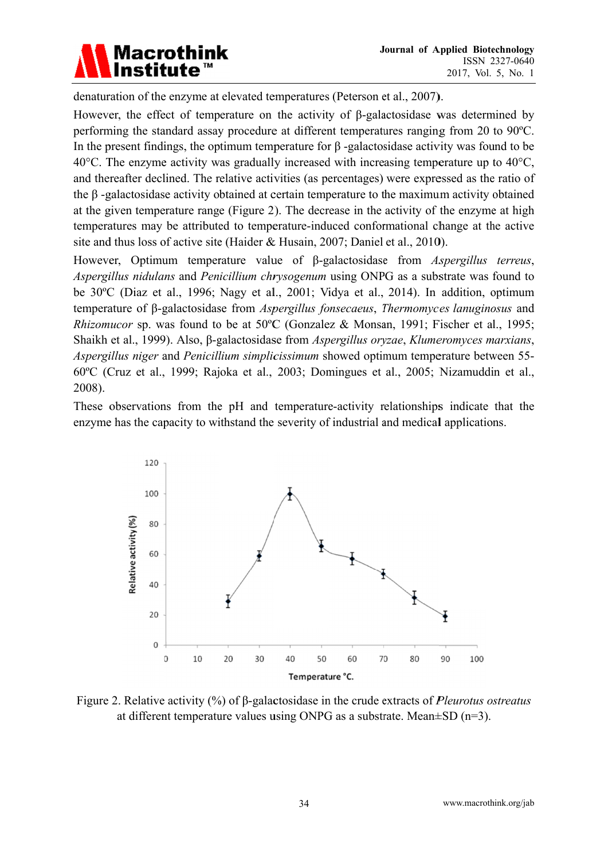

denaturation of the enzyme at elevated temperatures (Peterson et al., 2007).

However, the effect of temperature on the activity of  $\beta$ -galactosidase was determined by performing the standard assay procedure at different temperatures ranging from 20 to 90 °C. In the present findings, the optimum temperature for  $\beta$ -galactosidase activity was found to be 40 $^{\circ}$ C. The enzyme activity was gradually increased with increasing temperature up to 40 $^{\circ}$ C. and thereafter declined. The relative activities (as percentages) were expressed as the ratio of the  $\beta$ -galactosidase activity obtained at certain temperature to the maximum activity obtained at the given temperature range (Figure 2). The decrease in the activity of the enzyme at high temperatures may be attributed to temperature-induced conformational change at the active site and thus loss of active site (Haider & Husain, 2007; Daniel et al., 2010).

However, Optimum temperature value of β-galactosidase from Aspergillus terreus, Aspergillus nidulans and Penicillium chrysogenum using ONPG as a substrate was found to be 30°C (Diaz et al., 1996; Nagy et al., 2001; Vidya et al., 2014). In addition, optimum temperature of B-galactosidase from *Aspergillus fonsecaeus*. *Thermomyces lanuginosus* and *Rhizomucor* sp. was found to be at 50°C (Gonzalez & Monsan, 1991; Fischer et al., 1995; Shaikh et al., 1999). Also, β-galactosidase from *Aspergillus oryzae*, *Klumeromyces marxians*, *Aspergillus niger* and *Penicillium simplicissimum* showed optimum temperature between 55-60°C (Cruz et al., 1999; Rajoka et al., 2003; Domingues et al., 2005; Nizamuddin et al., 2008).

These observations from the pH and temperature-activity relationships indicate that the enzyme has the capacity to withstand the severity of industrial and medical applications.



Figure 2. Relative activity  $(\%)$  of  $\beta$ -galactosidase in the crude extracts of *Pleurotus ostreatus* at different temperature values using ONPG as a substrate. Mean $\pm$ SD (n=3).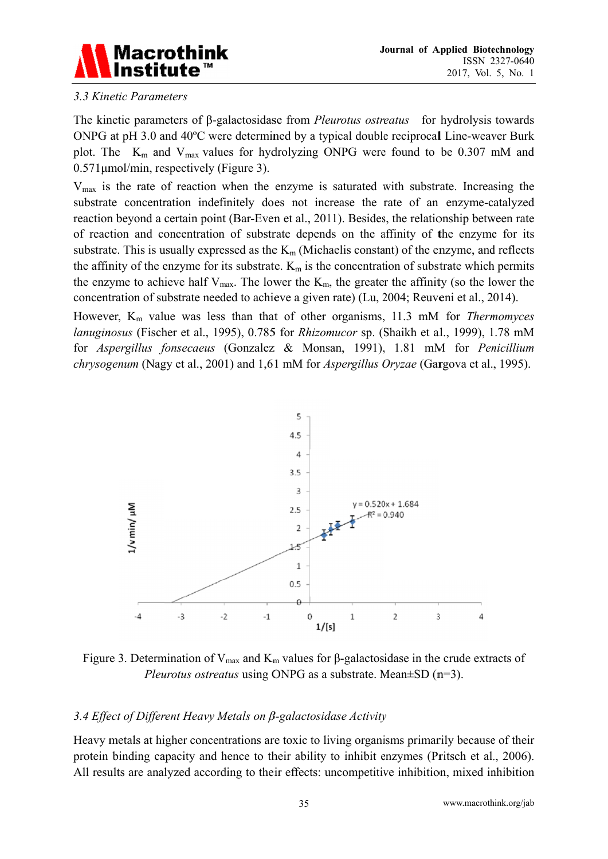

### 3.3 Kinetic Parameters

The kinetic parameters of  $\beta$ -galactosidase from *Pleurotus ostreatus* for hydrolysis towards ONPG at pH 3.0 and 40°C were determined by a typical double reciprocal Line-weaver Burk plot. The  $K_m$  and  $V_{max}$  values for hydrolyzing ONPG were found to be 0.307 mM and  $0.571 \mu$ mol/min, respectively (Figure 3).

 $V_{\text{max}}$  is the rate of reaction when the enzyme is saturated with substrate. Increasing the substrate concentration indefinitely does not increase the rate of an enzyme-catalyzed reaction beyond a certain point (Bar-Even et al., 2011). Besides, the relationship between rate of reaction and concentration of substrate depends on the affinity of the enzyme for its substrate. This is usually expressed as the  $K_m$  (Michaelis constant) of the enzyme, and reflects the affinity of the enzyme for its substrate.  $K_m$  is the concentration of substrate which permits the enzyme to achieve half  $V_{\text{max}}$ . The lower the  $K_{\text{m}}$ , the greater the affinity (so the lower the concentration of substrate needed to achieve a given rate) (Lu, 2004; Reuveni et al., 2014).

However,  $K_m$  value was less than that of other organisms, 11.3 mM for Thermomyces lanuginosus (Fischer et al., 1995), 0.785 for Rhizomucor sp. (Shaikh et al., 1999), 1.78 mM for Aspergillus fonsecaeus (Gonzalez & Monsan, 1991), 1.81 mM for Penicillium *chrysogenum* (Nagy et al., 2001) and 1,61 mM for *Aspergillus Oryzae* (Gargova et al., 1995).



Figure 3. Determination of  $V_{max}$  and  $K_m$  values for  $\beta$ -galactosidase in the crude extracts of *Pleurotus ostreatus* using ONPG as a substrate. Mean $\pm$ SD (n=3).

### 3.4 Effect of Different Heavy Metals on  $\beta$ -galactosidase Activity

Heavy metals at higher concentrations are toxic to living organisms primarily because of their protein binding capacity and hence to their ability to inhibit enzymes (Pritsch et al., 2006). All results are analyzed according to their effects: uncompetitive inhibition, mixed inhibition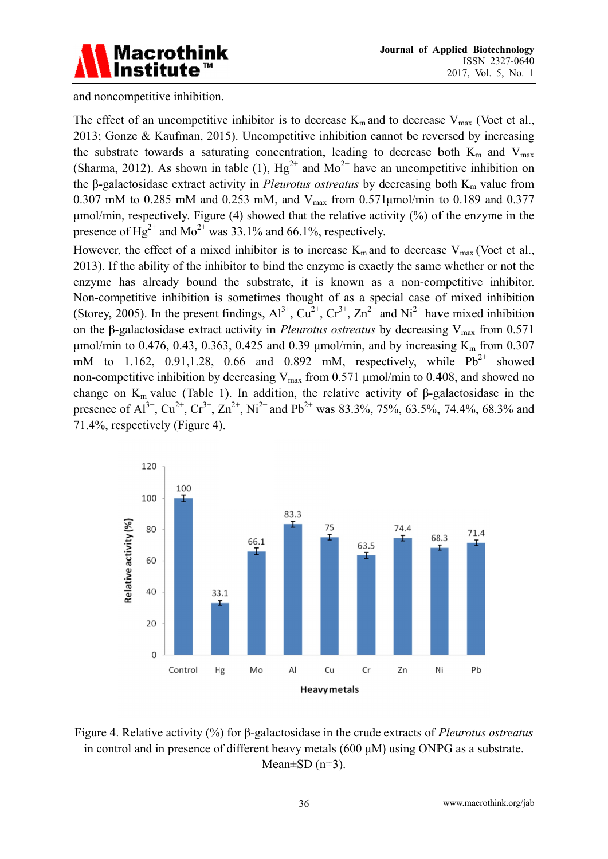

and noncompetitive inhibition.

The effect of an uncompetitive inhibitor is to decrease  $K_m$  and to decrease  $V_{\text{max}}$  (Voet et al., 2013; Gonze & Kaufman, 2015). Uncompetitive inhibition cannot be reversed by increasing the substrate towards a saturating concentration, leading to decrease both  $K_m$  and  $V_{max}$ (Sharma, 2012). As shown in table (1),  $Hg^{2+}$  and  $Mo^{2+}$  have an uncompetitive inhibition on the  $\beta$ -galactosidase extract activity in *Pleurotus ostreatus* by decreasing both  $K_m$  value from 0.307 mM to 0.285 mM and 0.253 mM, and  $V_{\text{max}}$  from 0.571 $\mu$ mol/min to 0.189 and 0.377  $\mu$ mol/min, respectively. Figure (4) showed that the relative activity (%) of the enzyme in the presence of Hg<sup>2+</sup> and Mo<sup>2+</sup> was 33.1% and 66.1%, respectively.

However, the effect of a mixed inhibitor is to increase  $K_m$  and to decrease  $V_{max}$  (Voet et al., 2013). If the ability of the inhibitor to bind the enzyme is exactly the same whether or not the enzyme has already bound the substrate, it is known as a non-competitive inhibitor. Non-competitive inhibition is sometimes thought of as a special case of mixed inhibition (Storey, 2005). In the present findings,  $Al^{3+}$ ,  $Cu^{2+}$ ,  $Cr^{3+}$ ,  $Zn^{2+}$  and  $Ni^{2+}$  have mixed inhibition on the  $\beta$ -galactosidase extract activity in *Pleurotus ostreatus* by decreasing V<sub>max</sub> from 0.571 μmol/min to 0.476, 0.43, 0.363, 0.425 and 0.39 μmol/min, and by increasing K<sub>m</sub> from 0.307 mM to 1.162, 0.91,1.28, 0.66 and 0.892 mM, respectively, while  $Pb^{2+}$  showed non-competitive inhibition by decreasing  $V_{\text{max}}$  from 0.571 µmol/min to 0.408, and showed no change on  $K_m$  value (Table 1). In addition, the relative activity of  $\beta$ -galactosidase in the presence of  $Al^{3+}$ ,  $Cu^{2+}$ ,  $Cr^{3+}$ ,  $Zn^{2+}$ ,  $Ni^{2+}$  and  $Pb^{2+}$  was 83.3%, 75%, 63.5%, 74.4%, 68.3% and 71.4%, respectively (Figure 4).



Figure 4. Relative activity (%) for B-galactosidase in the crude extracts of *Pleurotus ostreatus* in control and in presence of different heavy metals (600 µM) using ONPG as a substrate. Mean $\pm$ SD (n=3).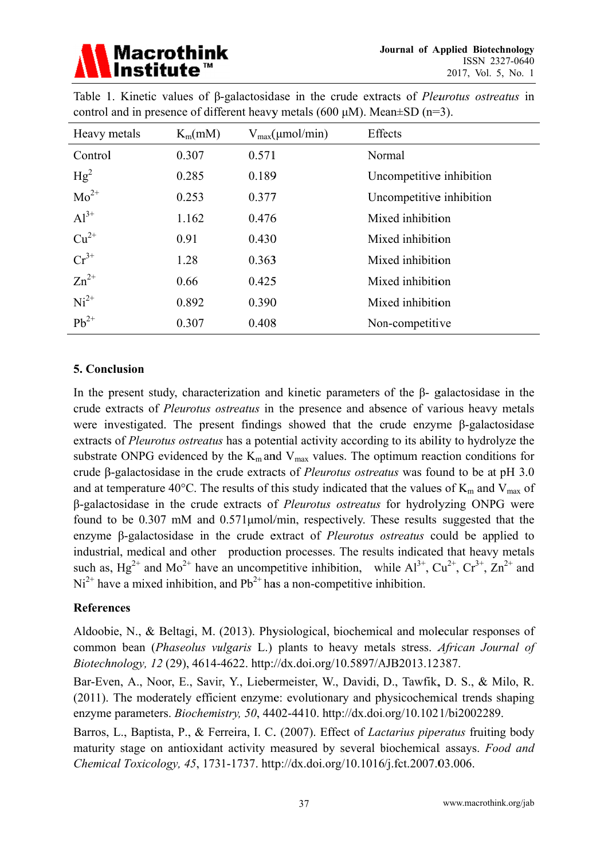

| Heavy metals | $K_m(mM)$ | $V_{max}(\mu mol/min)$ | Effects                  |
|--------------|-----------|------------------------|--------------------------|
| Control      | 0.307     | 0.571                  | Normal                   |
| $Hg^2$       | 0.285     | 0.189                  | Uncompetitive inhibition |
| $Mo^{2+}$    | 0.253     | 0.377                  | Uncompetitive inhibition |
| $Al^{3+}$    | 1.162     | 0.476                  | Mixed inhibition         |
| $Cu^{2+}$    | 0.91      | 0.430                  | Mixed inhibition         |
| $Cr^{3+}$    | 1.28      | 0.363                  | Mixed inhibition         |
| $Zn^{2+}$    | 0.66      | 0.425                  | Mixed inhibition         |
| $Ni2+$       | 0.892     | 0.390                  | Mixed inhibition         |
| $Pb^{2+}$    | 0.307     | 0.408                  | Non-competitive          |

Table 1. Kinetic values of  $\beta$ -galactosidase in the crude extracts of *Pleurotus ostreatus* in control and in presence of different heavy metals (600  $\mu$ M). Mean $\pm$ SD (n=3).

## 5. Conclusion

In the present study, characterization and kinetic parameters of the  $\beta$ - galactosidase in the crude extracts of *Pleurotus ostreatus* in the presence and absence of various heavy metals were investigated. The present findings showed that the crude enzyme  $\beta$ -galactosidase extracts of *Pleurotus ostreatus* has a potential activity according to its ability to hydrolyze the substrate ONPG evidenced by the  $K_m$  and  $V_{max}$  values. The optimum reaction conditions for crude  $\beta$ -galactosidase in the crude extracts of *Pleurotus ostreatus* was found to be at pH 3.0 and at temperature 40°C. The results of this study indicated that the values of  $K_m$  and  $V_{max}$  of β-galactosidase in the crude extracts of *Pleurotus ostreatus* for hydrolyzing ONPG were found to be 0.307 mM and 0.571 umol/min, respectively. These results suggested that the enzyme  $\beta$ -galactosidase in the crude extract of *Pleurotus ostreatus* could be applied to industrial, medical and other production processes. The results indicated that heavy metals such as,  $Hg^{2+}$  and  $Mo^{2+}$  have an uncompetitive inhibition, while  $Al^{3+}$ ,  $Cu^{2+}$ ,  $Cr^{3+}$ ,  $Zn^{2+}$  and  $Ni<sup>2+</sup>$  have a mixed inhibition, and Pb<sup>2+</sup> has a non-competitive inhibition.

### **References**

Aldoobie, N., & Beltagi, M. (2013). Physiological, biochemical and molecular responses of common bean (*Phaseolus vulgaris L.*) plants to heavy metals stress. *African Journal of* Biotechnology, 12 (29), 4614-4622. http://dx.doi.org/10.5897/AJB2013.12387.

Bar-Even, A., Noor, E., Savir, Y., Liebermeister, W., Davidi, D., Tawfik, D. S., & Milo, R. (2011). The moderately efficient enzyme: evolutionary and physicochemical trends shaping enzyme parameters. *Biochemistry*, 50, 4402-4410. http://dx.doi.org/10.1021/bi2002289.

Barros, L., Baptista, P., & Ferreira, I. C. (2007). Effect of *Lactarius piperatus* fruiting body maturity stage on antioxidant activity measured by several biochemical assays. Food and Chemical Toxicology, 45, 1731-1737. http://dx.doi.org/10.1016/j.fct.2007.03.006.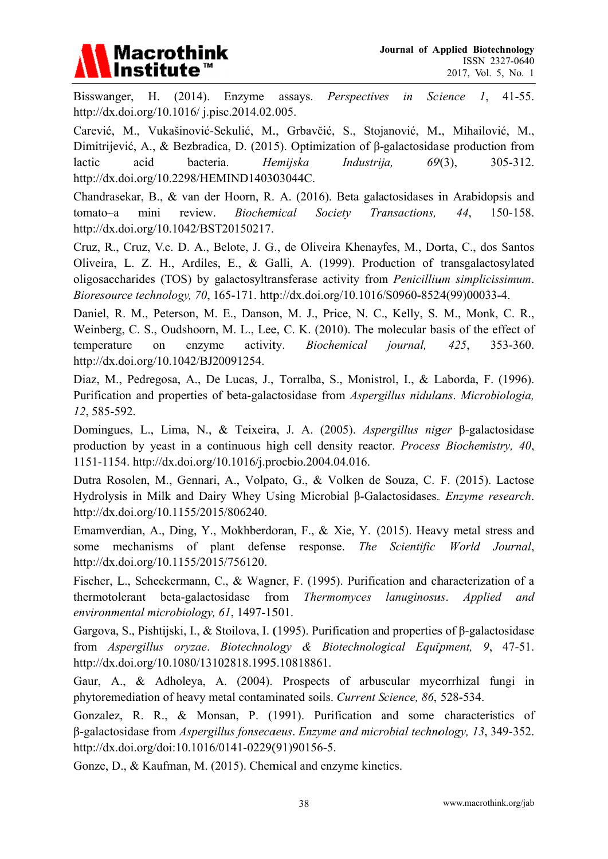

Bisswanger. H.  $(2014).$ Enzyme assays. Perspectives  $\mathcal{I}$ ,  $41-55$ .  $in$ Science http://dx.doi.org/10.1016/j.pisc.2014.02.005.

Carević, M., Vukašinović-Sekulić, M., Grbavčić, S., Stojanović, M., Mihailović, M., Dimitrijević, A., & Bezbradica, D. (2015). Optimization of  $\beta$ -galactosidase production from acid bacteria. Hemiiska lactic Industrija,  $69(3)$ , 305-312. http://dx.doi.org/10.2298/HEMIND140303044C.

Chandrasekar, B., & van der Hoorn, R. A. (2016). Beta galactosidases in Arabidopsis and tomato-a mini review. Biochemical Society Transactions. 44. 150-158. http://dx.doi.org/10.1042/BST20150217.

Cruz, R., Cruz, V.c. D. A., Belote, J. G., de Oliveira Khenayfes, M., Dorta, C., dos Santos Oliveira, L. Z. H., Ardiles, E., & Galli, A. (1999). Production of transgalactosylated oligosaccharides (TOS) by galactosyltransferase activity from *Penicillium simplicissimum*. Bioresource technology, 70, 165-171. http://dx.doi.org/10.1016/S0960-8524(99)00033-4.

Daniel, R. M., Peterson, M. E., Danson, M. J., Price, N. C., Kelly, S. M., Monk, C. R., Weinberg, C. S., Oudshoorn, M. L., Lee, C. K. (2010). The molecular basis of the effect of temperature on enzyme activity. Biochemical *journal*,  $425.$ 353-360. http://dx.doi.org/10.1042/BJ20091254.

Diaz, M., Pedregosa, A., De Lucas, J., Torralba, S., Monistrol, I., & Laborda, F. (1996). Purification and properties of beta-galactosidase from Aspergillus nidulans. Microbiologia, 12, 585-592.

Domingues, L., Lima, N., & Teixeira, J. A. (2005). Aspergillus niger β-galactosidase production by yeast in a continuous high cell density reactor. Process Biochemistry, 40, 1151-1154. http://dx.doi.org/10.1016/j.procbio.2004.04.016.

Dutra Rosolen, M., Gennari, A., Volpato, G., & Volken de Souza, C. F. (2015). Lactose Hydrolysis in Milk and Dairy Whey Using Microbial β-Galactosidases. *Enzyme research*. http://dx.doi.org/10.1155/2015/806240.

Emamverdian, A., Ding, Y., Mokhberdoran, F., & Xie, Y. (2015). Heavy metal stress and some mechanisms of plant defense response. The Scientific World Journal. http://dx.doi.org/10.1155/2015/756120.

Fischer, L., Scheckermann, C., & Wagner, F. (1995). Purification and characterization of a thermotolerant beta-galactosidase from Thermomyces lanuginosus. *Applied* and environmental microbiology, 61, 1497-1501.

Gargova, S., Pishtijski, I., & Stoilova, I. (1995). Purification and properties of  $\beta$ -galactosidase from Aspergillus oryzae. Biotechnology & Biotechnological Equipment, 9, 47-51. http://dx.doi.org/10.1080/13102818.1995.10818861.

Gaur, A., & Adholeya, A. (2004). Prospects of arbuscular mycorrhizal fungi in phytoremediation of heavy metal contaminated soils. Current Science, 86, 528-534.

Gonzalez, R. R., & Monsan, P. (1991). Purification and some characteristics of B-galactosidase from Aspergillus fonsecaeus. Enzyme and microbial technology, 13, 349-352. http://dx.doi.org/doi:10.1016/0141-0229(91)90156-5.

Gonze, D., & Kaufman, M. (2015). Chemical and enzyme kinetics.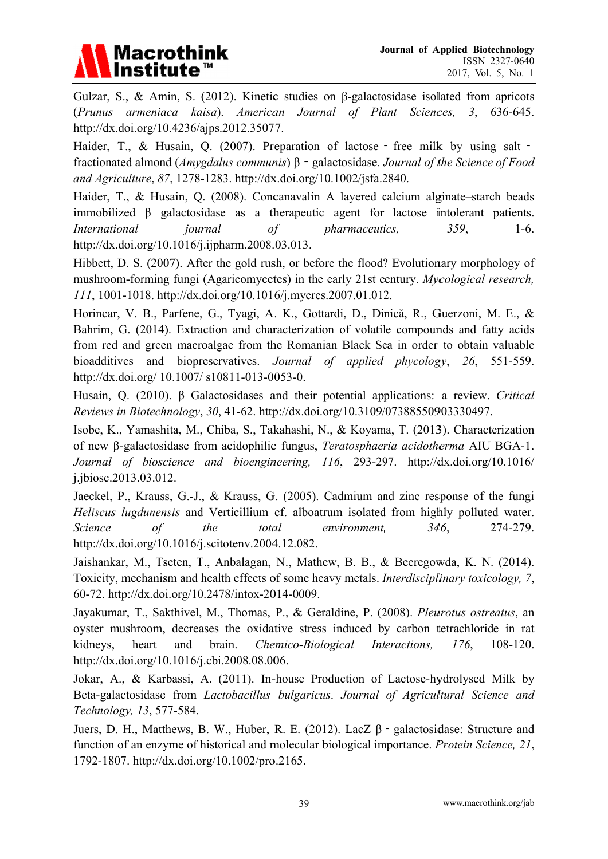

Gulzar, S., & Amin, S. (2012). Kinetic studies on  $\beta$ -galactosidase isolated from apricots (Prunus armeniaca kaisa). American Journal of Plant Sciences,  $3.636 - 645.$ http://dx.doi.org/10.4236/ajps.2012.35077.

Haider, T., & Husain, Q. (2007). Preparation of lactose - free milk by using salt fractionated almond (*Amygdalus communis*)  $\beta$  - galactosidase. *Journal of the Science of Food* and Agriculture, 87, 1278-1283. http://dx.doi.org/10.1002/jsfa.2840.

Haider, T., & Husain, Q. (2008). Concanavalin A layered calcium alginate-starch beads immobilized  $\beta$  galactosidase as a therapeutic agent for lactose intolerant patients. pharmaceutics, **International** journal  $\sigma f$ 359.  $1-6.$ http://dx.doi.org/10.1016/j.ijpharm.2008.03.013.

Hibbett, D. S. (2007). After the gold rush, or before the flood? Evolutionary morphology of mushroom-forming fungi (Agaricomycetes) in the early 21st century. Mycological research, 111, 1001-1018. http://dx.doi.org/10.1016/j.mycres.2007.01.012.

Horincar, V. B., Parfene, G., Tyagi, A. K., Gottardi, D., Dinică, R., Guerzoni, M. E., & Bahrim, G. (2014). Extraction and characterization of volatile compounds and fatty acids from red and green macroalgae from the Romanian Black Sea in order to obtain valuable bioadditives and biopreservatives. Journal of applied phycology, 26, 551-559. http://dx.doi.org/  $10.1007/$  s $10811-013-0053-0$ .

Husain, Q. (2010). β Galactosidases and their potential applications: a review. Critical Reviews in Biotechnology, 30, 41-62. http://dx.doi.org/10.3109/07388550903330497.

Isobe, K., Yamashita, M., Chiba, S., Takahashi, N., & Koyama, T. (2013). Characterization of new B-galactosidase from acidophilic fungus, *Teratosphaeria acidotherma* AIU BGA-1. Journal of bioscience and bioengineering, 116, 293-297. http://dx.doi.org/10.1016/ j.jbiosc.2013.03.012.

Jaeckel, P., Krauss, G.-J., & Krauss, G. (2005). Cadmium and zinc response of the fungi Heliscus lugdunensis and Verticillium cf. alboatrum isolated from highly polluted water. 346. Science  $\sigma f$  $the$ total environment. 274-279. http://dx.doi.org/10.1016/j.scitotenv.2004.12.082.

Jaishankar, M., Tseten, T., Anbalagan, N., Mathew, B. B., & Beeregowda, K. N. (2014). Toxicity, mechanism and health effects of some heavy metals. Interdisciplinary toxicology, 7, 60-72. http://dx.doi.org/10.2478/intox-2014-0009.

Javakumar, T., Sakthivel, M., Thomas, P., & Geraldine, P. (2008). Pleurotus ostreatus, an oyster mushroom, decreases the oxidative stress induced by carbon tetrachloride in rat kidneys. heart and brain. Chemico-Biological Interactions.  $176.$ 108-120. http://dx.doi.org/10.1016/j.cbi.2008.08.006.

Jokar, A., & Karbassi, A. (2011). In-house Production of Lactose-hydrolysed Milk by Beta-galactosidase from Lactobacillus bulgaricus. Journal of Agricultural Science and Technology, 13, 577-584.

Juers, D. H., Matthews, B. W., Huber, R. E. (2012). LacZ  $\beta$  - galactosidase: Structure and function of an enzyme of historical and molecular biological importance. *Protein Science*, 21, 1792-1807. http://dx.doi.org/10.1002/pro.2165.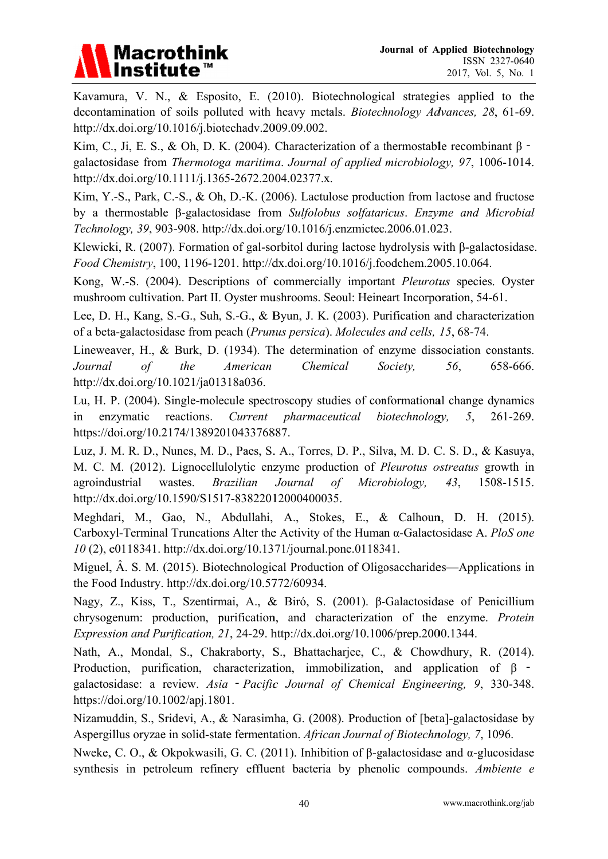

Kavamura, V. N., & Esposito, E. (2010). Biotechnological strategies applied to the decontamination of soils polluted with heavy metals. *Biotechnology Advances*, 28, 61-69. http://dx.doi.org/10.1016/j.biotechadv.2009.09.002.

Kim, C., Ji, E. S., & Oh, D. K. (2004). Characterization of a thermostable recombinant  $\beta$  galactosidase from Thermotoga maritima. Journal of applied microbiology, 97, 1006-1014. http://dx.doi.org/10.1111/j.1365-2672.2004.02377.x.

Kim, Y.-S., Park, C.-S., & Oh, D.-K. (2006). Lactulose production from lactose and fructose by a thermostable β-galactosidase from Sulfolobus solfataricus. Enzyme and Microbial Technology, 39, 903-908. http://dx.doi.org/10.1016/j.enzmictec.2006.01.023.

Klewicki, R. (2007). Formation of gal-sorbitol during lactose hydrolysis with  $\beta$ -galactosidase. Food Chemistry, 100, 1196-1201. http://dx.doi.org/10.1016/j.foodchem.2005.10.064.

Kong, W.-S. (2004). Descriptions of commercially important *Pleurotus* species. Oyster mushroom cultivation. Part II. Oyster mushrooms. Seoul: Heineart Incorporation, 54-61.

Lee, D. H., Kang, S.-G., Suh, S.-G., & Byun, J. K. (2003). Purification and characterization of a beta-galactosidase from peach (Prunus persica). Molecules and cells, 15, 68-74.

Lineweaver, H., & Burk, D. (1934). The determination of enzyme dissociation constants. the Journal  $\overline{of}$ American Chemical Society. 56. 658-666. http://dx.doi.org/10.1021/ja01318a036.

Lu, H. P. (2004). Single-molecule spectroscopy studies of conformational change dynamics  $in$ enzymatic reactions. Current pharmaceutical biotechnology, 5, 261-269. https://doi.org/10.2174/1389201043376887.

Luz, J. M. R. D., Nunes, M. D., Paes, S. A., Torres, D. P., Silva, M. D. C. S. D., & Kasuya, M. C. M. (2012). Lignocellulolytic enzyme production of *Pleurotus ostreatus* growth in agroindustrial wastes. **Brazilian** Journal 1508-1515.  $\sigma f$ Microbiology,  $43.$ http://dx.doi.org/10.1590/S1517-83822012000400035.

Meghdari, M., Gao, N., Abdullahi, A., Stokes, E., & Calhoun, D. H. (2015). Carboxyl-Terminal Truncations Alter the Activity of the Human  $\alpha$ -Galactosidase A. PloS one 10(2), e0118341. http://dx.doi.org/10.1371/journal.pone.0118341.

Miguel, A. S. M. (2015). Biotechnological Production of Oligosaccharides—Applications in the Food Industry. http://dx.doi.org/10.5772/60934.

Nagy, Z., Kiss, T., Szentirmai, A., & Biró, S. (2001). β-Galactosidase of Penicillium chrysogenum: production, purification, and characterization of the enzyme. Protein Expression and Purification, 21, 24-29. http://dx.doi.org/10.1006/prep.2000.1344.

Nath, A., Mondal, S., Chakraborty, S., Bhattacharjee, C., & Chowdhury, R. (2014). Production, purification, characterization, immobilization, and application of  $\beta$  galactosidase: a review. Asia - Pacific Journal of Chemical Engineering, 9, 330-348. https://doi.org/10.1002/apj.1801.

Nizamuddin, S., Sridevi, A., & Narasimha, G. (2008). Production of [beta]-galactosidase by Aspergillus oryzae in solid-state fermentation. African Journal of Biotechnology, 7, 1096.

Nweke, C. O., & Okpokwasili, G. C. (2011). Inhibition of  $\beta$ -galactosidase and  $\alpha$ -glucosidase synthesis in petroleum refinery effluent bacteria by phenolic compounds. Ambiente e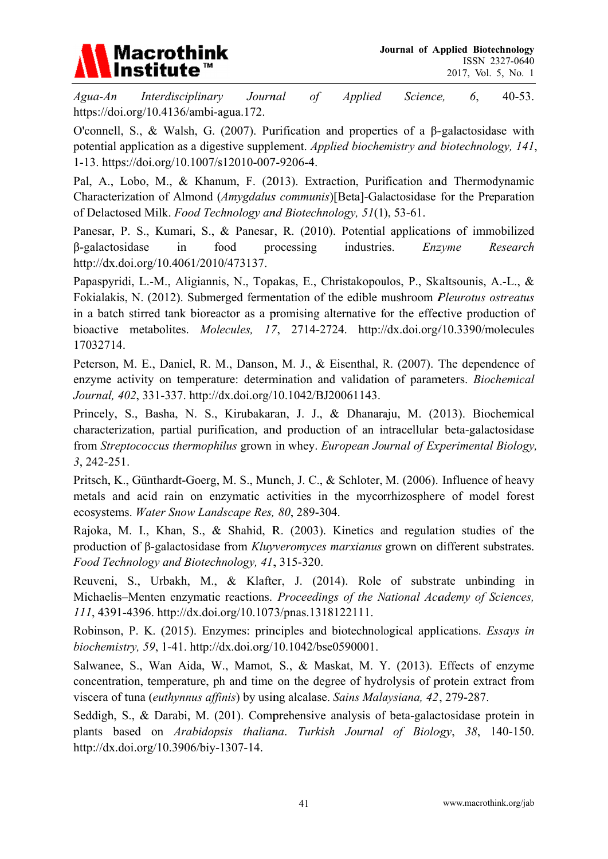

 $A$ gua- $An$ Interdisciplinary Journal  $\overline{of}$ **Applied** 6,  $40-53$ . Science, https://doi.org/10.4136/ambi-agua.172.

O'connell, S., & Walsh, G. (2007). Purification and properties of a B-galactosidase with potential application as a digestive supplement. Applied biochemistry and biotechnology, 141, 1-13. https://doi.org/10.1007/s12010-007-9206-4.

Pal, A., Lobo, M., & Khanum, F. (2013). Extraction, Purification and Thermodynamic Characterization of Almond (Amygdalus communis)[Beta]-Galactosidase for the Preparation of Delactosed Milk. Food Technology and Biotechnology, 51(1), 53-61.

Panesar, P. S., Kumari, S., & Panesar, R. (2010). Potential applications of immobilized B-galactosidase  $in$ food processing industries. Enzvme Research http://dx.doi.org/10.4061/2010/473137.

Papaspyridi, L.-M., Aligiannis, N., Topakas, E., Christakopoulos, P., Skaltsounis, A.-L., & Fokialakis, N. (2012). Submerged fermentation of the edible mushroom Pleurotus ostreatus in a batch stirred tank bioreactor as a promising alternative for the effective production of bioactive metabolites. *Molecules*, 17, 2714-2724. http://dx.doi.org/10.3390/molecules 17032714.

Peterson, M. E., Daniel, R. M., Danson, M. J., & Eisenthal, R. (2007). The dependence of enzyme activity on temperature: determination and validation of parameters. *Biochemical* Journal, 402, 331-337. http://dx.doi.org/10.1042/BJ20061143.

Princely, S., Basha, N. S., Kirubakaran, J. J., & Dhanaraju, M. (2013). Biochemical characterization, partial purification, and production of an intracellular beta-galactosidase from Streptococcus thermophilus grown in whey. European Journal of Experimental Biology,  $3, 242 - 251.$ 

Pritsch, K., Günthardt-Goerg, M. S., Munch, J. C., & Schloter, M. (2006). Influence of heavy metals and acid rain on enzymatic activities in the mycorrhizosphere of model forest ecosystems. Water Snow Landscape Res, 80, 289-304.

Rajoka, M. I., Khan, S., & Shahid, R. (2003). Kinetics and regulation studies of the production of  $\beta$ -galactosidase from *Kluyveromyces marxianus* grown on different substrates. Food Technology and Biotechnology, 41, 315-320.

Reuveni, S., Urbakh, M., & Klafter, J. (2014). Role of substrate unbinding in Michaelis–Menten enzymatic reactions. Proceedings of the National Academy of Sciences, 111, 4391-4396. http://dx.doi.org/10.1073/pnas.1318122111.

Robinson, P. K. (2015). Enzymes: principles and biotechnological applications. Essays in biochemistry, 59, 1-41. http://dx.doi.org/10.1042/bse0590001.

Salwanee, S., Wan Aida, W., Mamot, S., & Maskat, M. Y. (2013). Effects of enzyme concentration, temperature, ph and time on the degree of hydrolysis of protein extract from viscera of tuna (euthynnus affinis) by using alcalase. Sains Malaysiana, 42, 279-287.

Seddigh, S., & Darabi, M. (201). Comprehensive analysis of beta-galactosidase protein in plants based on *Arabidopsis thaliana. Turkish Journal of Biology*, 38, 140-150. http://dx.doi.org/10.3906/biy-1307-14.